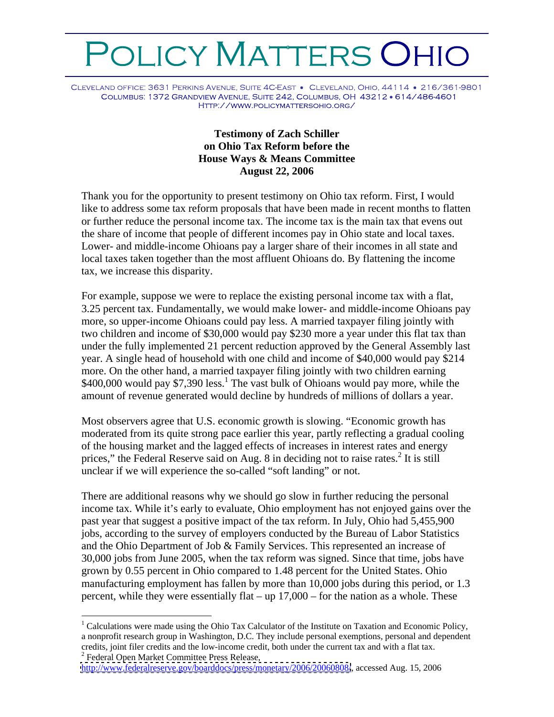## OLICY MATTERS OHIO

CLEVELAND OFFICE: 3631 PERKINS AVENUE, SUITE 4C-EAST . CLEVELAND, OHIO, 44114 . 216/361-9801 COLUMBUS: 1372 GRANDVIEW AVENUE, SUITE 242, COLUMBUS, OH 43212 · 614/486-4601 HTTP://WWW.POLICYMATTERSOHIO.ORG/

## **Testimony of Zach Schiller on Ohio Tax Reform before the House Ways & Means Committee August 22, 2006**

Thank you for the opportunity to present testimony on Ohio tax reform. First, I would like to address some tax reform proposals that have been made in recent months to flatten or further reduce the personal income tax. The income tax is the main tax that evens out the share of income that people of different incomes pay in Ohio state and local taxes. Lower- and middle-income Ohioans pay a larger share of their incomes in all state and local taxes taken together than the most affluent Ohioans do. By flattening the income tax, we increase this disparity.

For example, suppose we were to replace the existing personal income tax with a flat, 3.25 percent tax. Fundamentally, we would make lower- and middle-income Ohioans pay more, so upper-income Ohioans could pay less. A married taxpayer filing jointly with two children and income of \$30,000 would pay \$230 more a year under this flat tax than under the fully implemented 21 percent reduction approved by the General Assembly last year. A single head of household with one child and income of \$40,000 would pay \$214 more. On the other hand, a married taxpayer filing jointly with two children earning  $$400,000$  would pay \$7,390 less.<sup>1</sup> The vast bulk of Ohioans would pay more, while the amount of revenue generated would decline by hundreds of millions of dollars a year.

Most observers agree that U.S. economic growth is slowing. "Economic growth has moderated from its quite strong pace earlier this year, partly reflecting a gradual cooling of the housing market and the lagged effects of increases in interest rates and energy prices," the Federal Reserve said on Aug. 8 in deciding not to raise rates. $^{2}$  It is still It is still unclear if we will experience the so-called "soft landing" or not.

There are additional reasons why we should go slow in further reducing the personal income tax. While it's early to evaluate, Ohio employment has not enjoyed gains over the past year that suggest a positive impact of the tax reform. In July, Ohio had 5,455,900 jobs, according to the survey of employers conducted by the Bureau of Labor Statistics and the Ohio Department of Job & Family Services. This represented an increase of 30,000 jobs from June 2005, when the tax reform was signed. Since that time, jobs have grown by 0.55 percent in Ohio compared to 1.48 percent for the United States. Ohio manufacturing employment has fallen by more than 10,000 jobs during this period, or 1.3 percent, while they were essentially flat – up 17,000 – for the nation as a whole. These

<sup>&</sup>lt;sup>1</sup> Calculations were made using the Ohio Tax Calculator of the Institute on Taxation and Economic Policy, a nonprofit research group in Washington, D.C. They include personal exemptions, personal and dependent credits, joint filer credits and the low-income credit, both under the current tax and with a flat tax. 2 <sup>2</sup> Federal Open Market Committee Press Release,

<http://www.federalreserve.gov/boarddocs/press/monetary/2006/20060808/>, accessed Aug. 15, 2006